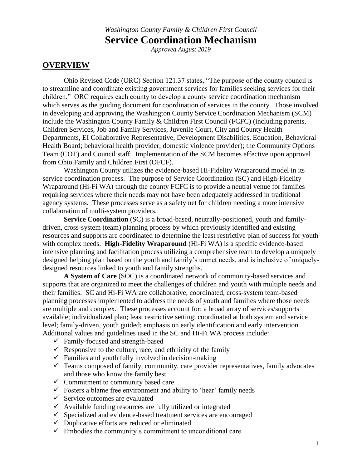## *Washington County Family & Children First Council* **Service Coordination Mechanism**

*Approved August 2019*

### **OVERVIEW**

Ohio Revised Code (ORC) Section 121.37 states, "The purpose of the county council is to streamline and coordinate existing government services for families seeking services for their children." ORC requires each county to develop a county service coordination mechanism which serves as the guiding document for coordination of services in the county. Those involved in developing and approving the Washington County Service Coordination Mechanism (SCM) include the Washington County Family & Children First Council (FCFC) (including parents, Children Services, Job and Family Services, Juvenile Court, City and County Health Departments, EI Collaborative Representative, Development Disabilities, Education, Behavioral Health Board; behavioral health provider; domestic violence provider); the Community Options Team (COT) and Council staff. Implementation of the SCM becomes effective upon approval from Ohio Family and Children First (OFCF).

Washington County utilizes the evidence-based Hi-Fidelity Wraparound model in its service coordination process. The purpose of Service Coordination (SC) and High-Fidelity Wraparound (Hi-Fi WA) through the county FCFC is to provide a neutral venue for families requiring services where their needs may not have been adequately addressed in traditional agency systems. These processes serve as a safety net for children needing a more intensive collaboration of multi-system providers.

**Service Coordination** (SC) is a broad-based, neutrally-positioned, youth and familydriven, cross-system (team) planning process by which previously identified and existing resources and supports are coordinated to determine the least restrictive plan of success for youth with complex needs. **High-Fidelity Wraparound** (Hi-Fi WA) is a specific evidence-based intensive planning and facilitation process utilizing a comprehensive team to develop a uniquely designed helping plan based on the youth and family's unmet needs, and is inclusive of uniquelydesigned resources linked to youth and family strengths.

**A System of Care** (SOC) is a coordinated network of community-based services and supports that are organized to meet the challenges of children and youth with multiple needs and their families. SC and Hi-Fi WA are collaborative, coordinated, cross-system team-based planning processes implemented to address the needs of youth and families where those needs are multiple and complex. These processes account for: a broad array of services/supports available; individualized plan; least restrictive setting; coordinated at both system and service level; family-driven, youth guided; emphasis on early identification and early intervention. Additional values and guidelines used in the SC and Hi-Fi WA process include:

- $\checkmark$  Family-focused and strength-based
- $\checkmark$  Responsive to the culture, race, and ethnicity of the family
- $\checkmark$  Families and youth fully involved in decision-making
- $\checkmark$  Teams composed of family, community, care provider representatives, family advocates and those who know the family best
- $\checkmark$  Commitment to community based care
- $\checkmark$  Fosters a blame free environment and ability to 'hear' family needs
- $\checkmark$  Service outcomes are evaluated
- $\checkmark$  Available funding resources are fully utilized or integrated
- $\checkmark$  Specialized and evidence-based treatment services are encouraged
- $\checkmark$  Duplicative efforts are reduced or eliminated
- $\checkmark$  Embodies the community's commitment to unconditional care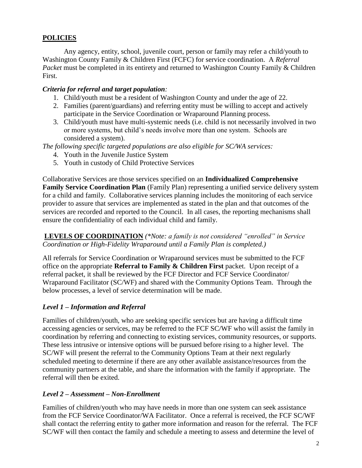### **POLICIES**

Any agency, entity, school, juvenile court, person or family may refer a child/youth to Washington County Family & Children First (FCFC) for service coordination. A *Referral Packet* must be completed in its entirety and returned to Washington County Family & Children First.

### *Criteria for referral and target population:*

- 1. Child/youth must be a resident of Washington County and under the age of 22.
- 2. Families (parent/guardians) and referring entity must be willing to accept and actively participate in the Service Coordination or Wraparound Planning process.
- 3. Child/youth must have multi-systemic needs (i.e. child is not necessarily involved in two or more systems, but child's needs involve more than one system. Schools are considered a system).

*The following specific targeted populations are also eligible for SC/WA services:*

- 4. Youth in the Juvenile Justice System
- 5. Youth in custody of Child Protective Services

Collaborative Services are those services specified on an **Individualized Comprehensive Family Service Coordination Plan** (Family Plan) representing a unified service delivery system for a child and family. Collaborative services planning includes the monitoring of each service provider to assure that services are implemented as stated in the plan and that outcomes of the services are recorded and reported to the Council. In all cases, the reporting mechanisms shall ensure the confidentiality of each individual child and family.

### **LEVELS OF COORDINATION** *(\*Note: a family is not considered "enrolled" in Service Coordination or High-Fidelity Wraparound until a Family Plan is completed.)*

All referrals for Service Coordination or Wraparound services must be submitted to the FCF office on the appropriate **Referral to Family & Children First** packet. Upon receipt of a referral packet, it shall be reviewed by the FCF Director and FCF Service Coordinator/ Wraparound Facilitator (SC/WF) and shared with the Community Options Team. Through the below processes, a level of service determination will be made.

## *Level 1* **–** *Information and Referral*

Families of children/youth, who are seeking specific services but are having a difficult time accessing agencies or services, may be referred to the FCF SC/WF who will assist the family in coordination by referring and connecting to existing services, community resources, or supports. These less intrusive or intensive options will be pursued before rising to a higher level. The SC/WF will present the referral to the Community Options Team at their next regularly scheduled meeting to determine if there are any other available assistance/resources from the community partners at the table, and share the information with the family if appropriate. The referral will then be exited.

### *Level 2* **–** *Assessment – Non-Enrollment*

Families of children/youth who may have needs in more than one system can seek assistance from the FCF Service Coordinator/WA Facilitator. Once a referral is received, the FCF SC/WF shall contact the referring entity to gather more information and reason for the referral. The FCF SC/WF will then contact the family and schedule a meeting to assess and determine the level of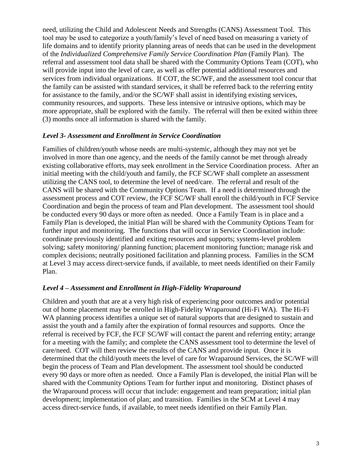need, utilizing the Child and Adolescent Needs and Strengths (CANS) Assessment Tool. This tool may be used to categorize a youth/family's level of need based on measuring a variety of life domains and to identify priority planning areas of needs that can be used in the development of the *Individualized Comprehensive Family Service Coordination Plan* (Family Plan). The referral and assessment tool data shall be shared with the Community Options Team (COT), who will provide input into the level of care, as well as offer potential additional resources and services from individual organizations. If COT, the SC/WF, and the assessment tool concur that the family can be assisted with standard services, it shall be referred back to the referring entity for assistance to the family, and/or the SC/WF shall assist in identifying existing services, community resources, and supports. These less intensive or intrusive options, which may be more appropriate, shall be explored with the family. The referral will then be exited within three (3) months once all information is shared with the family.

#### *Level 3- Assessment and Enrollment in Service Coordination*

Families of children/youth whose needs are multi-systemic, although they may not yet be involved in more than one agency, and the needs of the family cannot be met through already existing collaborative efforts, may seek enrollment in the Service Coordination process. After an initial meeting with the child/youth and family, the FCF SC/WF shall complete an assessment utilizing the CANS tool, to determine the level of need/care. The referral and result of the CANS will be shared with the Community Options Team. If a need is determined through the assessment process and COT review, the FCF SC/WF shall enroll the child/youth in FCF Service Coordination and begin the process of team and Plan development. The assessment tool should be conducted every 90 days or more often as needed. Once a Family Team is in place and a Family Plan is developed, the initial Plan will be shared with the Community Options Team for further input and monitoring. The functions that will occur in Service Coordination include: coordinate previously identified and exiting resources and supports; systems-level problem solving; safety monitoring/ planning function; placement monitoring function; manage risk and complex decisions; neutrally positioned facilitation and planning process. Families in the SCM at Level 3 may access direct-service funds, if available, to meet needs identified on their Family Plan.

#### *Level 4 – Assessment and Enrollment in High-Fidelity Wraparound*

Children and youth that are at a very high risk of experiencing poor outcomes and/or potential out of home placement may be enrolled in High-Fidelity Wraparound (Hi-Fi WA). The Hi-Fi WA planning process identifies a unique set of natural supports that are designed to sustain and assist the youth and a family after the expiration of formal resources and supports. Once the referral is received by FCF, the FCF SC/WF will contact the parent and referring entity; arrange for a meeting with the family; and complete the CANS assessment tool to determine the level of care/need. COT will then review the results of the CANS and provide input. Once it is determined that the child/youth meets the level of care for Wraparound Services, the SC/WF will begin the process of Team and Plan development. The assessment tool should be conducted every 90 days or more often as needed. Once a Family Plan is developed, the initial Plan will be shared with the Community Options Team for further input and monitoring. Distinct phases of the Wraparound process will occur that include: engagement and team preparation; initial plan development; implementation of plan; and transition. Families in the SCM at Level 4 may access direct-service funds, if available, to meet needs identified on their Family Plan.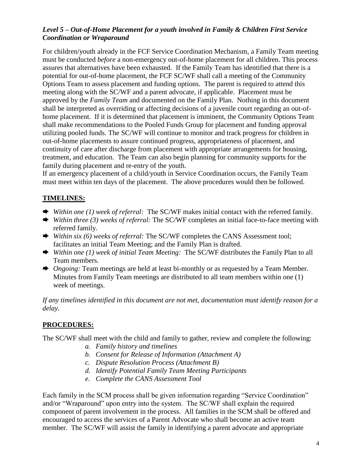### *Level 5 – Out-of-Home Placement for a youth involved in Family & Children First Service Coordination or Wraparound*

For children/youth already in the FCF Service Coordination Mechanism, a Family Team meeting must be conducted *before* a non-emergency out-of-home placement for all children. This process assures that alternatives have been exhausted. If the Family Team has identified that there is a potential for out-of-home placement, the FCF SC/WF shall call a meeting of the Community Options Team to assess placement and funding options. The parent is required to attend this meeting along with the SC/WF and a parent advocate, if applicable. Placement must be approved by the *Family Team* and documented on the Family Plan. Nothing in this document shall be interpreted as overriding or affecting decisions of a juvenile court regarding an out-ofhome placement. If it is determined that placement is imminent, the Community Options Team shall make recommendations to the Pooled Funds Group for placement and funding approval utilizing pooled funds. The SC/WF will continue to monitor and track progress for children in out-of-home placements to assure continued progress, appropriateness of placement, and continuity of care after discharge from placement with appropriate arrangements for housing, treatment, and education. The Team can also begin planning for community supports for the family during placement and re-entry of the youth.

If an emergency placement of a child/youth in Service Coordination occurs, the Family Team must meet within ten days of the placement. The above procedures would then be followed.

## **TIMELINES:**

- *Within one (1) week of referral:* The SC/WF makes initial contact with the referred family.
- *Within three (3) weeks of referral:* The SC/WF completes an initial face-to-face meeting with referred family.
- *Within six (6) weeks of referral:* The SC/WF completes the CANS Assessment tool; facilitates an initial Team Meeting; and the Family Plan is drafted.
- *Within one (1) week of initial Team Meeting:* The SC/WF distributes the Family Plan to all Team members.
- ◆ *Ongoing:* Team meetings are held at least bi-monthly or as requested by a Team Member. Minutes from Family Team meetings are distributed to all team members within one (1) week of meetings.

*If any timelines identified in this document are not met, documentation must identify reason for a delay.*

## **PROCEDURES:**

The SC/WF shall meet with the child and family to gather, review and complete the following:

- *a. Family history and timelines*
- *b. Consent for Release of Information (Attachment A)*
- *c. Dispute Resolution Process (Attachment B)*
- *d. Identify Potential Family Team Meeting Participants*
- *e. Complete the CANS Assessment Tool*

Each family in the SCM process shall be given information regarding "Service Coordination" and/or "Wraparound" upon entry into the system. The SC/WF shall explain the required component of parent involvement in the process. All families in the SCM shall be offered and encouraged to access the services of a Parent Advocate who shall become an active team member. The SC/WF will assist the family in identifying a parent advocate and appropriate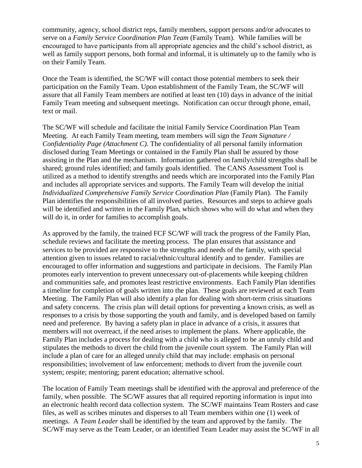community, agency, school district reps, family members, support persons and/or advocates to serve on a *Family Service Coordination Plan Team* (Family Team). While families will be encouraged to have participants from all appropriate agencies and the child's school district, as well as family support persons, both formal and informal, it is ultimately up to the family who is on their Family Team.

Once the Team is identified, the SC/WF will contact those potential members to seek their participation on the Family Team. Upon establishment of the Family Team, the SC/WF will assure that all Family Team members are notified at least ten (10) days in advance of the initial Family Team meeting and subsequent meetings. Notification can occur through phone, email, text or mail.

The SC/WF will schedule and facilitate the initial Family Service Coordination Plan Team Meeting. At each Family Team meeting, team members will sign the *Team Signature / Confidentiality Page (Attachment C).* The confidentiality of all personal family information disclosed during Team Meetings or contained in the Family Plan shall be assured by those assisting in the Plan and the mechanism. Information gathered on family/child strengths shall be shared; ground rules identified; and family goals identified. The CANS Assessment Tool is utilized as a method to identify strengths and needs which are incorporated into the Family Plan and includes all appropriate services and supports. The Family Team will develop the initial *Individualized Comprehensive Family Service Coordination Plan* (Family Plan). The Family Plan identifies the responsibilities of all involved parties. Resources and steps to achieve goals will be identified and written in the Family Plan, which shows who will do what and when they will do it, in order for families to accomplish goals.

As approved by the family, the trained FCF SC/WF will track the progress of the Family Plan, schedule reviews and facilitate the meeting process. The plan ensures that assistance and services to be provided are responsive to the strengths and needs of the family, with special attention given to issues related to racial/ethnic/cultural identify and to gender. Families are encouraged to offer information and suggestions and participate in decisions. The Family Plan promotes early intervention to prevent unnecessary out-of-placements while keeping children and communities safe, and promotes least restrictive environments. Each Family Plan identifies a timeline for completion of goals written into the plan. These goals are reviewed at each Team Meeting. The Family Plan will also identify a plan for dealing with short-term crisis situations and safety concerns. The crisis plan will detail options for preventing a known crisis, as well as responses to a crisis by those supporting the youth and family, and is developed based on family need and preference. By having a safety plan in place in advance of a crisis, it assures that members will not overreact, if the need arises to implement the plans. Where applicable, the Family Plan includes a process for dealing with a child who is alleged to be an unruly child and stipulates the methods to divert the child from the juvenile court system. The Family Plan will include a plan of care for an alleged unruly child that may include: emphasis on personal responsibilities; involvement of law enforcement; methods to divert from the juvenile court system; respite; mentoring; parent education; alternative school.

The location of Family Team meetings shall be identified with the approval and preference of the family, when possible. The SC/WF assures that all required reporting information is input into an electronic health record data collection system. The SC/WF maintains Team Rosters and case files, as well as scribes minutes and disperses to all Team members within one (1) week of meetings. A *Team Leader* shall be identified by the team and approved by the family. The SC/WF may serve as the Team Leader, or an identified Team Leader may assist the SC/WF in all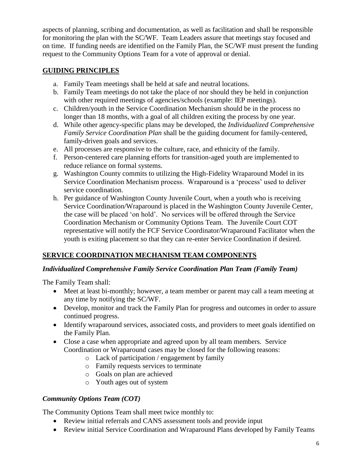aspects of planning, scribing and documentation, as well as facilitation and shall be responsible for monitoring the plan with the SC/WF. Team Leaders assure that meetings stay focused and on time. If funding needs are identified on the Family Plan, the SC/WF must present the funding request to the Community Options Team for a vote of approval or denial.

# **GUIDING PRINCIPLES**

- a. Family Team meetings shall be held at safe and neutral locations.
- b. Family Team meetings do not take the place of nor should they be held in conjunction with other required meetings of agencies/schools (example: IEP meetings).
- c. Children/youth in the Service Coordination Mechanism should be in the process no longer than 18 months, with a goal of all children exiting the process by one year.
- d. While other agency-specific plans may be developed, the *Individualized Comprehensive Family Service Coordination Plan* shall be the guiding document for family-centered, family-driven goals and services.
- e. All processes are responsive to the culture, race, and ethnicity of the family.
- f. Person-centered care planning efforts for transition-aged youth are implemented to reduce reliance on formal systems.
- g. Washington County commits to utilizing the High-Fidelity Wraparound Model in its Service Coordination Mechanism process. Wraparound is a 'process' used to deliver service coordination.
- h. Per guidance of Washington County Juvenile Court, when a youth who is receiving Service Coordination/Wraparound is placed in the Washington County Juvenile Center, the case will be placed 'on hold'. No services will be offered through the Service Coordination Mechanism or Community Options Team. The Juvenile Court COT representative will notify the FCF Service Coordinator/Wraparound Facilitator when the youth is exiting placement so that they can re-enter Service Coordination if desired.

# **SERVICE COORDINATION MECHANISM TEAM COMPONENTS**

### *Individualized Comprehensive Family Service Coordination Plan Team (Family Team)*

The Family Team shall:

- Meet at least bi-monthly; however, a team member or parent may call a team meeting at any time by notifying the SC/WF.
- Develop, monitor and track the Family Plan for progress and outcomes in order to assure continued progress.
- Identify wraparound services, associated costs, and providers to meet goals identified on the Family Plan.
- Close a case when appropriate and agreed upon by all team members. Service Coordination or Wraparound cases may be closed for the following reasons:
	- o Lack of participation / engagement by family
	- o Family requests services to terminate
	- o Goals on plan are achieved
	- o Youth ages out of system

## *Community Options Team (COT)*

The Community Options Team shall meet twice monthly to:

- Review initial referrals and CANS assessment tools and provide input
- Review initial Service Coordination and Wraparound Plans developed by Family Teams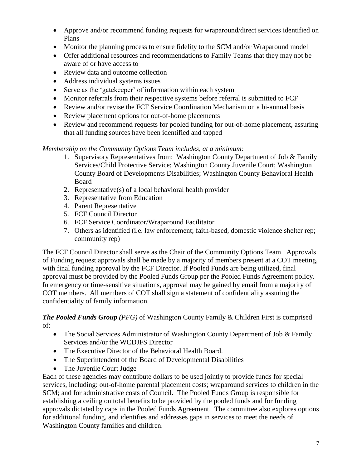- Approve and/or recommend funding requests for wraparound/direct services identified on Plans
- Monitor the planning process to ensure fidelity to the SCM and/or Wraparound model
- Offer additional resources and recommendations to Family Teams that they may not be aware of or have access to
- Review data and outcome collection
- Address individual systems issues
- Serve as the 'gatekeeper' of information within each system
- Monitor referrals from their respective systems before referral is submitted to FCF
- Review and/or revise the FCF Service Coordination Mechanism on a bi-annual basis
- Review placement options for out-of-home placements
- Review and recommend requests for pooled funding for out-of-home placement, assuring that all funding sources have been identified and tapped

### *Membership on the Community Options Team includes, at a minimum:*

- 1. Supervisory Representatives from: Washington County Department of Job & Family Services/Child Protective Service; Washington County Juvenile Court; Washington County Board of Developments Disabilities; Washington County Behavioral Health Board
- 2. Representative(s) of a local behavioral health provider
- 3. Representative from Education
- 4. Parent Representative
- 5. FCF Council Director
- 6. FCF Service Coordinator/Wraparound Facilitator
- 7. Others as identified (i.e. law enforcement; faith-based, domestic violence shelter rep; community rep)

The FCF Council Director shall serve as the Chair of the Community Options Team. Approvals of Funding request approvals shall be made by a majority of members present at a COT meeting, with final funding approval by the FCF Director. If Pooled Funds are being utilized, final approval must be provided by the Pooled Funds Group per the Pooled Funds Agreement policy. In emergency or time-sensitive situations, approval may be gained by email from a majority of COT members. All members of COT shall sign a statement of confidentiality assuring the confidentiality of family information.

*The Pooled Funds Group (PFG)* of Washington County Family & Children First is comprised of:

- The Social Services Administrator of Washington County Department of Job & Family Services and/or the WCDJFS Director
- The Executive Director of the Behavioral Health Board.
- The Superintendent of the Board of Developmental Disabilities
- The Juvenile Court Judge

Each of these agencies may contribute dollars to be used jointly to provide funds for special services, including: out-of-home parental placement costs; wraparound services to children in the SCM; and for administrative costs of Council. The Pooled Funds Group is responsible for establishing a ceiling on total benefits to be provided by the pooled funds and for funding approvals dictated by caps in the Pooled Funds Agreement. The committee also explores options for additional funding, and identifies and addresses gaps in services to meet the needs of Washington County families and children.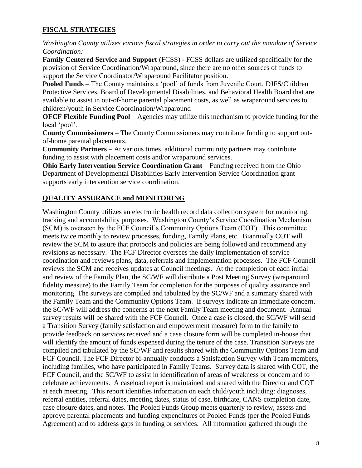### **FISCAL STRATEGIES**

*Washington County utilizes various fiscal strategies in order to carry out the mandate of Service Coordination:*

**Family Centered Service and Support** (FCSS) - FCSS dollars are utilized specifically for the provision of Service Coordination/Wraparound, since there are no other sources of funds to support the Service Coordinator/Wraparound Facilitator position.

**Pooled Funds** – The County maintains a 'pool' of funds from Juvenile Court, DJFS/Children Protective Services, Board of Developmental Disabilities, and Behavioral Health Board that are available to assist in out-of-home parental placement costs, as well as wraparound services to children/youth in Service Coordination/Wraparound

**OFCF Flexible Funding Pool** – Agencies may utilize this mechanism to provide funding for the local 'pool'.

**County Commissioners** – The County Commissioners may contribute funding to support outof-home parental placements.

**Community Partners** – At various times, additional community partners may contribute funding to assist with placement costs and/or wraparound services.

**Ohio Early Intervention Service Coordination Grant** – Funding received from the Ohio Department of Developmental Disabilities Early Intervention Service Coordination grant supports early intervention service coordination.

### **QUALITY ASSURANCE and MONITORING**

Washington County utilizes an electronic health record data collection system for monitoring, tracking and accountability purposes. Washington County's Service Coordination Mechanism (SCM) is overseen by the FCF Council's Community Options Team (COT). This committee meets twice monthly to review processes, funding, Family Plans, etc. Biannually COT will review the SCM to assure that protocols and policies are being followed and recommend any revisions as necessary. The FCF Director oversees the daily implementation of service coordination and reviews plans, data, referrals and implementation processes. The FCF Council reviews the SCM and receives updates at Council meetings. At the completion of each initial and review of the Family Plan, the SC/WF will distribute a Post Meeting Survey (wraparound fidelity measure) to the Family Team for completion for the purposes of quality assurance and monitoring. The surveys are compiled and tabulated by the SC/WF and a summary shared with the Family Team and the Community Options Team. If surveys indicate an immediate concern, the SC/WF will address the concerns at the next Family Team meeting and document. Annual survey results will be shared with the FCF Council. Once a case is closed, the SC/WF will send a Transition Survey (family satisfaction and empowerment measure) form to the family to provide feedback on services received and a case closure form will be completed in-house that will identify the amount of funds expensed during the tenure of the case. Transition Surveys are compiled and tabulated by the SC/WF and results shared with the Community Options Team and FCF Council. The FCF Director bi-annually conducts a Satisfaction Survey with Team members, including families, who have participated in Family Teams. Survey data is shared with COT, the FCF Council, and the SC/WF to assist in identification of areas of weakness or concern and to celebrate achievements. A caseload report is maintained and shared with the Director and COT at each meeting. This report identifies information on each child/youth including: diagnoses, referral entities, referral dates, meeting dates, status of case, birthdate, CANS completion date, case closure dates, and notes. The Pooled Funds Group meets quarterly to review, assess and approve parental placements and funding expenditures of Pooled Funds (per the Pooled Funds Agreement) and to address gaps in funding or services. All information gathered through the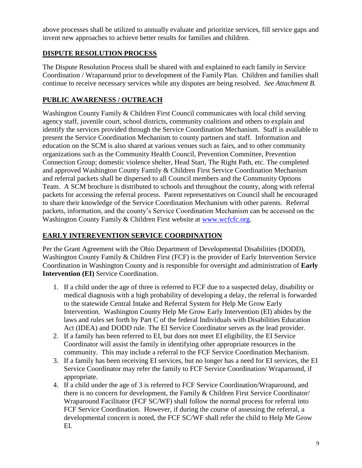above processes shall be utilized to annually evaluate and prioritize services, fill service gaps and invent new approaches to achieve better results for families and children.

# **DISPUTE RESOLUTION PROCESS**

The Dispute Resolution Process shall be shared with and explained to each family in Service Coordination / Wraparound prior to development of the Family Plan. Children and families shall continue to receive necessary services while any disputes are being resolved. *See Attachment B.*

# **PUBLIC AWARENESS / OUTREACH**

Washington County Family & Children First Council communicates with local child serving agency staff, juvenile court, school districts, community coalitions and others to explain and identify the services provided through the Service Coordination Mechanism. Staff is available to present the Service Coordination Mechanism to county partners and staff. Information and education on the SCM is also shared at various venues such as fairs, and to other community organizations such as the Community Health Council, Prevention Committee, Prevention Connection Group; domestic violence shelter, Head Start, The Right Path, etc. The completed and approved Washington County Family & Children First Service Coordination Mechanism and referral packets shall be dispersed to all Council members and the Community Options Team. A SCM brochure is distributed to schools and throughout the county, along with referral packets for accessing the referral process. Parent representatives on Council shall be encouraged to share their knowledge of the Service Coordination Mechanism with other parents. Referral packets, information, and the county's Service Coordination Mechanism can be accessed on the Washington County Family & Children First website at [www.wcfcfc.org.](http://www.wcfcfc.org/)

# **EARLY INTEREVENTION SERVICE COORDINATION**

Per the Grant Agreement with the Ohio Department of Developmental Disabilities (DODD), Washington County Family & Children First (FCF) is the provider of Early Intervention Service Coordination in Washington County and is responsible for oversight and administration of **Early Intervention (EI)** Service Coordination.

- 1. If a child under the age of three is referred to FCF due to a suspected delay, disability or medical diagnosis with a high probability of developing a delay, the referral is forwarded to the statewide Central Intake and Referral System for Help Me Grow Early Intervention. Washington County Help Me Grow Early Intervention (EI) abides by the laws and rules set forth by Part C of the federal Individuals with Disabilities Education Act (IDEA) and DODD rule. The EI Service Coordinator serves as the lead provider.
- 2. If a family has been referred to EI, but does not meet EI eligibility, the EI Service Coordinator will assist the family in identifying other appropriate resources in the community. This may include a referral to the FCF Service Coordination Mechanism.
- 3. If a family has been receiving EI services, but no longer has a need for EI services, the EI Service Coordinator may refer the family to FCF Service Coordination/ Wraparound, if appropriate.
- 4. If a child under the age of 3 is referred to FCF Service Coordination/Wraparound, and there is no concern for development, the Family & Children First Service Coordinator/ Wraparound Facilitator (FCF SC/WF) shall follow the normal process for referral into FCF Service Coordination. However, if during the course of assessing the referral, a developmental concern is noted, the FCF SC/WF shall refer the child to Help Me Grow EI.